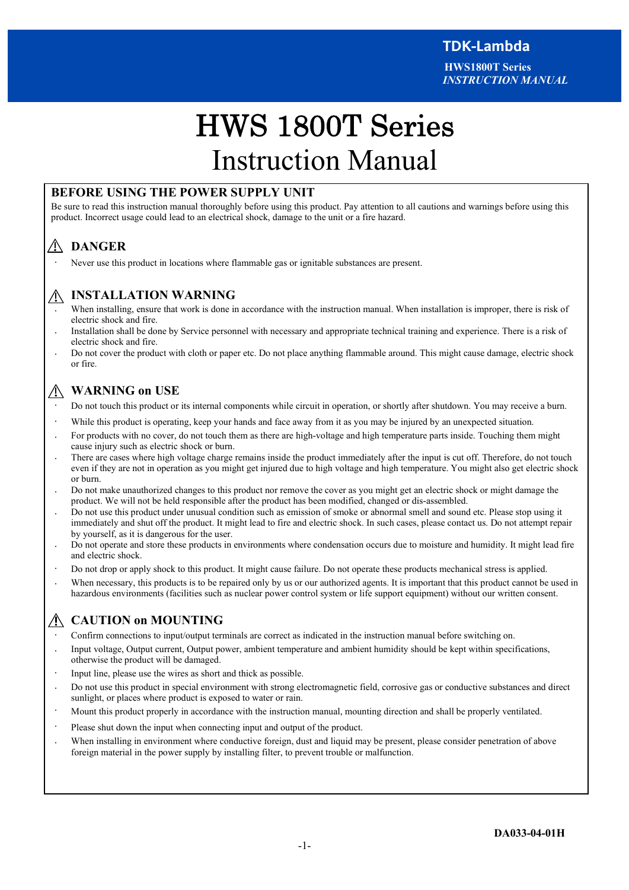# . . HWS 1800T Series Instruction Manual

# **BEFORE USING THE POWER SUPPLY UNIT**

Be sure to read this instruction manual thoroughly before using this product. Pay attention to all cautions and warnings before using this product. Incorrect usage could lead to an electrical shock, damage to the unit or a fire hazard.

# **DANGER**

Never use this product in locations where flammable gas or ignitable substances are present.

# **INSTALLATION WARNING**

- When installing, ensure that work is done in accordance with the instruction manual. When installation is improper, there is risk of electric shock and fire.
- Installation shall be done by Service personnel with necessary and appropriate technical training and experience. There is a risk of electric shock and fire.
- Do not cover the product with cloth or paper etc. Do not place anything flammable around. This might cause damage, electric shock or fire.

# **WARNING on USE**

- ・ Do not touch this product or its internal components while circuit in operation, or shortly after shutdown. You may receive a burn.
- While this product is operating, keep your hands and face away from it as you may be injured by an unexpected situation.
- For products with no cover, do not touch them as there are high-voltage and high temperature parts inside. Touching them might cause injury such as electric shock or burn.
- There are cases where high voltage charge remains inside the product immediately after the input is cut off. Therefore, do not touch even if they are not in operation as you might get injured due to high voltage and high temperature. You might also get electric shock or burn.
- Do not make unauthorized changes to this product nor remove the cover as you might get an electric shock or might damage the product. We will not be held responsible after the product has been modified, changed or dis-assembled.
- ・ Do not use this product under unusual condition such as emission of smoke or abnormal smell and sound etc. Please stop using it immediately and shut off the product. It might lead to fire and electric shock. In such cases, please contact us. Do not attempt repair by yourself, as it is dangerous for the user.
- Do not operate and store these products in environments where condensation occurs due to moisture and humidity. It might lead fire and electric shock.
- ・ Do not drop or apply shock to this product. It might cause failure. Do not operate these products mechanical stress is applied.
- When necessary, this products is to be repaired only by us or our authorized agents. It is important that this product cannot be used in hazardous environments (facilities such as nuclear power control system or life support equipment) without our written consent.

# **CAUTION on MOUNTING**

- ・ Confirm connections to input/output terminals are correct as indicated in the instruction manual before switching on.
- Input voltage, Output current, Output power, ambient temperature and ambient humidity should be kept within specifications, otherwise the product will be damaged.
- Input line, please use the wires as short and thick as possible.
- ・ Do not use this product in special environment with strong electromagnetic field, corrosive gas or conductive substances and direct sunlight, or places where product is exposed to water or rain.
- Mount this product properly in accordance with the instruction manual, mounting direction and shall be properly ventilated.
- Please shut down the input when connecting input and output of the product.
- When installing in environment where conductive foreign, dust and liquid may be present, please consider penetration of above foreign material in the power supply by installing filter, to prevent trouble or malfunction.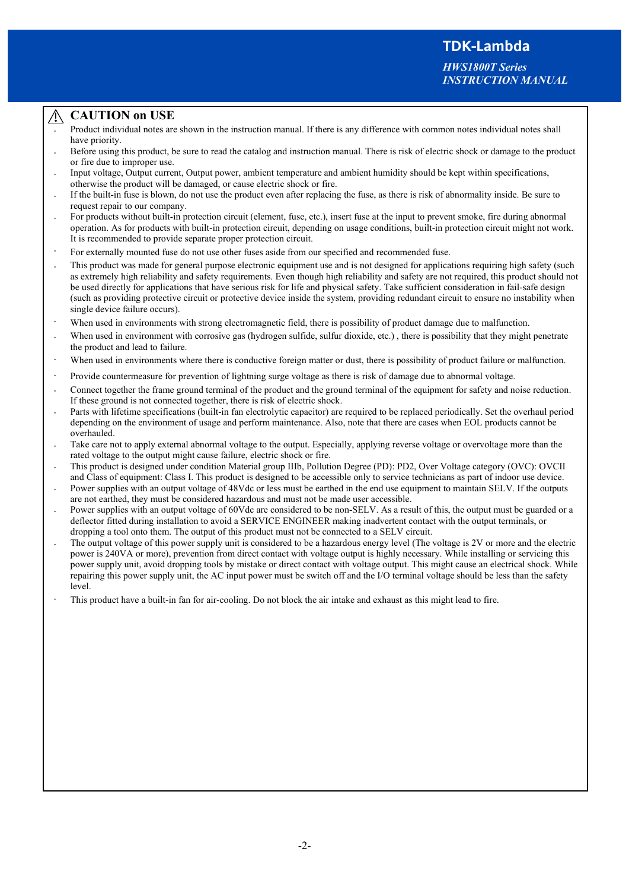*HWS1800T Series INSTRUCTION MANUAL*

## **CAUTION on USE**

- Product individual notes are shown in the instruction manual. If there is any difference with common notes individual notes shall have priority.
- Before using this product, be sure to read the catalog and instruction manual. There is risk of electric shock or damage to the product or fire due to improper use.
- Input voltage, Output current, Output power, ambient temperature and ambient humidity should be kept within specifications, otherwise the product will be damaged, or cause electric shock or fire.
- If the built-in fuse is blown, do not use the product even after replacing the fuse, as there is risk of abnormality inside. Be sure to request repair to our company.
- For products without built-in protection circuit (element, fuse, etc.), insert fuse at the input to prevent smoke, fire during abnormal operation. As for products with built-in protection circuit, depending on usage conditions, built-in protection circuit might not work. It is recommended to provide separate proper protection circuit.
- ・ For externally mounted fuse do not use other fuses aside from our specified and recommended fuse.
- This product was made for general purpose electronic equipment use and is not designed for applications requiring high safety (such as extremely high reliability and safety requirements. Even though high reliability and safety are not required, this product should not be used directly for applications that have serious risk for life and physical safety. Take sufficient consideration in fail-safe design (such as providing protective circuit or protective device inside the system, providing redundant circuit to ensure no instability when single device failure occurs).
- When used in environments with strong electromagnetic field, there is possibility of product damage due to malfunction.
- When used in environment with corrosive gas (hydrogen sulfide, sulfur dioxide, etc.), there is possibility that they might penetrate the product and lead to failure.
- When used in environments where there is conductive foreign matter or dust, there is possibility of product failure or malfunction.
- ・ Provide countermeasure for prevention of lightning surge voltage as there is risk of damage due to abnormal voltage.
- Connect together the frame ground terminal of the product and the ground terminal of the equipment for safety and noise reduction. If these ground is not connected together, there is risk of electric shock.
- Parts with lifetime specifications (built-in fan electrolytic capacitor) are required to be replaced periodically. Set the overhaul period depending on the environment of usage and perform maintenance. Also, note that there are cases when EOL products cannot be overhauled.
- Take care not to apply external abnormal voltage to the output. Especially, applying reverse voltage or overvoltage more than the rated voltage to the output might cause failure, electric shock or fire.
- ・ This product is designed under condition Material group IIIb, Pollution Degree (PD): PD2, Over Voltage category (OVC): OVCII and Class of equipment: Class I. This product is designed to be accessible only to service technicians as part of indoor use device.
- Power supplies with an output voltage of 48Vdc or less must be earthed in the end use equipment to maintain SELV. If the outputs are not earthed, they must be considered hazardous and must not be made user accessible.
- Power supplies with an output voltage of 60Vdc are considered to be non-SELV. As a result of this, the output must be guarded or a deflector fitted during installation to avoid a SERVICE ENGINEER making inadvertent contact with the output terminals, or dropping a tool onto them. The output of this product must not be connected to a SELV circuit.
- The output voltage of this power supply unit is considered to be a hazardous energy level (The voltage is 2V or more and the electric power is 240VA or more), prevention from direct contact with voltage output is highly necessary. While installing or servicing this power supply unit, avoid dropping tools by mistake or direct contact with voltage output. This might cause an electrical shock. While repairing this power supply unit, the AC input power must be switch off and the I/O terminal voltage should be less than the safety level.
- This product have a built-in fan for air-cooling. Do not block the air intake and exhaust as this might lead to fire.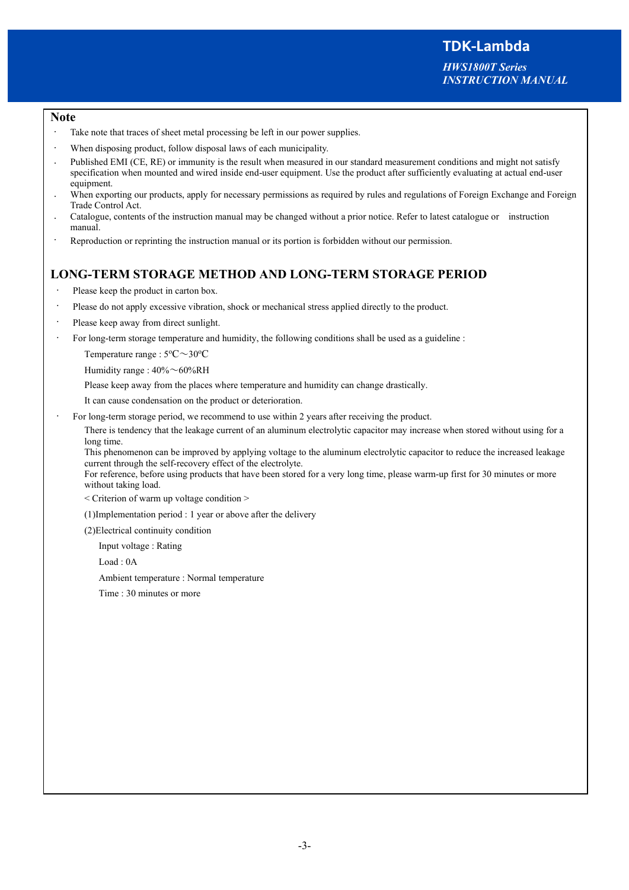*HWS1800T Series INSTRUCTION MANUAL*

#### **Note**

- Take note that traces of sheet metal processing be left in our power supplies.
- When disposing product, follow disposal laws of each municipality.
- Published EMI (CE, RE) or immunity is the result when measured in our standard measurement conditions and might not satisfy specification when mounted and wired inside end-user equipment. Use the product after sufficiently evaluating at actual end-user equipment.
- When exporting our products, apply for necessary permissions as required by rules and regulations of Foreign Exchange and Foreign Trade Control Act.
- Catalogue, contents of the instruction manual may be changed without a prior notice. Refer to latest catalogue or instruction manual.
- Reproduction or reprinting the instruction manual or its portion is forbidden without our permission.

# **LONG-TERM STORAGE METHOD AND LONG-TERM STORAGE PERIOD**

- Please keep the product in carton box.
- Please do not apply excessive vibration, shock or mechanical stress applied directly to the product.
- Please keep away from direct sunlight.
- For long-term storage temperature and humidity, the following conditions shall be used as a guideline :

Temperature range :  $5^{\circ}$ C $\sim$ 30 $^{\circ}$ C

Humidity range : 40%~60%RH

Please keep away from the places where temperature and humidity can change drastically.

It can cause condensation on the product or deterioration.

For long-term storage period, we recommend to use within 2 years after receiving the product.

There is tendency that the leakage current of an aluminum electrolytic capacitor may increase when stored without using for a long time.

This phenomenon can be improved by applying voltage to the aluminum electrolytic capacitor to reduce the increased leakage current through the self-recovery effect of the electrolyte.

For reference, before using products that have been stored for a very long time, please warm-up first for 30 minutes or more without taking load.

< Criterion of warm up voltage condition >

(1)Implementation period : 1 year or above after the delivery

(2)Electrical continuity condition

Input voltage : Rating

Load : 0A

Ambient temperature : Normal temperature

Time : 30 minutes or more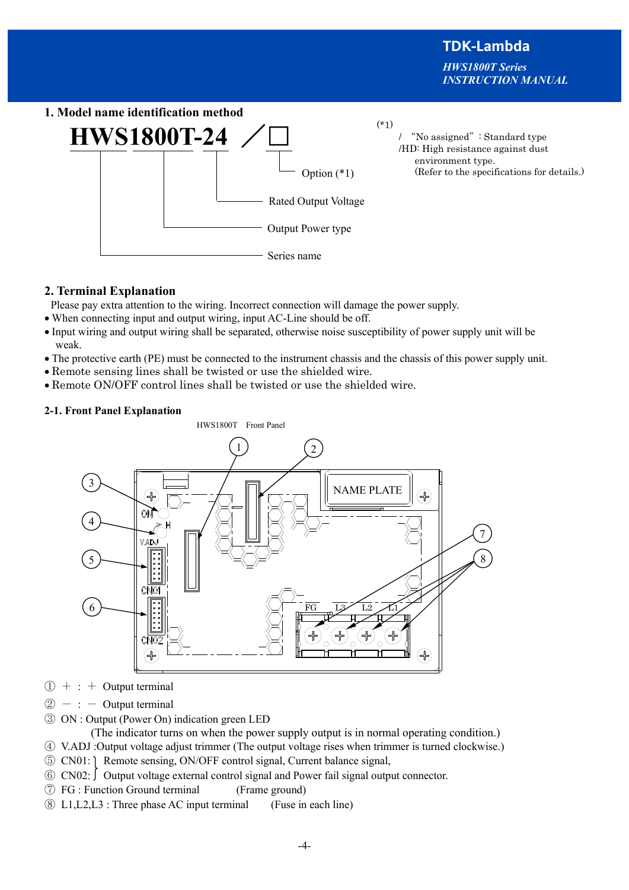**TDK-Lambda**  *HWS1800T Series INSTRUCTION MANUAL*

**1. Model name identification method**   $HWS1800T-24$ Option (\*1) Rated Output Voltage Output Power type Series name  $(*1)$ / "No assigned": Standard type /HD: High resistance against dust environment type. (Refer to the specifications for details.)

# **2. Terminal Explanation**

Please pay extra attention to the wiring. Incorrect connection will damage the power supply.

- · When connecting input and output wiring, input AC-Line should be off.
- · Input wiring and output wiring shall be separated, otherwise noise susceptibility of power supply unit will be weak.
- · The protective earth (PE) must be connected to the instrument chassis and the chassis of this power supply unit.
- · Remote sensing lines shall be twisted or use the shielded wire.
- · Remote ON/OFF control lines shall be twisted or use the shielded wire.

## **2-1. Front Panel Explanation**

HWS1800T Front Panel 1  $\overline{2}$ 3 NAME PLATE ⊮ 4 7 8 5 6 FG L<sub>3</sub> L<sub>2</sub> L<sub>1</sub> ╬

- $(1) + : +$  Output terminal
- $\circled{2}$  : Output terminal
- ③ ON : Output (Power On) indication green LED

(The indicator turns on when the power supply output is in normal operating condition.)

- ④ V.ADJ :Output voltage adjust trimmer (The output voltage rises when trimmer is turned clockwise.)
- ⑤ CN01: Remote sensing, ON/OFF control signal, Current balance signal,
- $\circ$  CN02:  $\circ$  Output voltage external control signal and Power fail signal output connector.
- ⑦ FG : Function Ground terminal (Frame ground)
- ⑧ L1,L2,L3 : Three phase AC input terminal (Fuse in each line)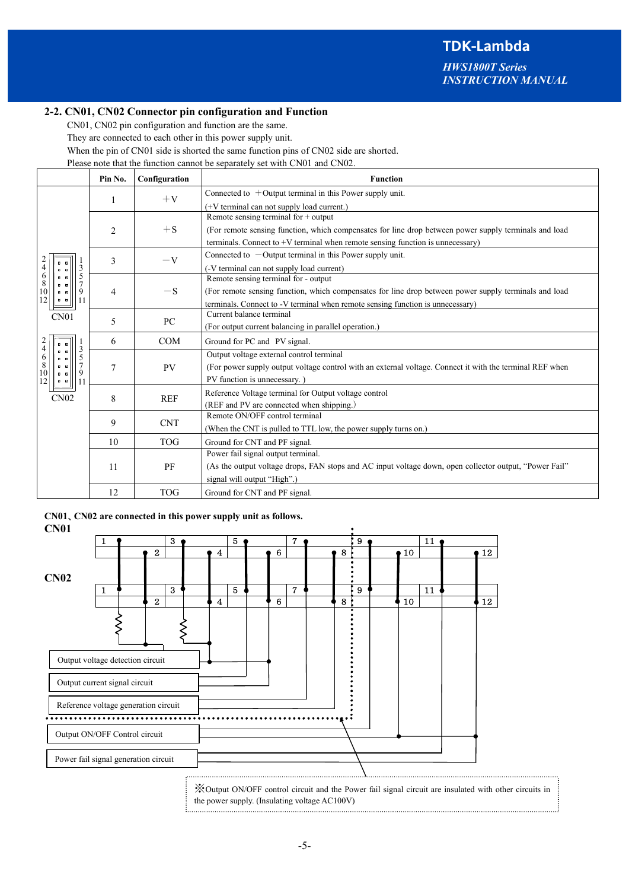*HWS1800T Series INSTRUCTION MANUAL*

#### **2-2. CN01, CN02 Connector pin configuration and Function**

CN01, CN02 pin configuration and function are the same.

They are connected to each other in this power supply unit.

When the pin of CN01 side is shorted the same function pins of CN02 side are shorted.

Please note that the function cannot be separately set with CN01 and CN02.

|                                                                                          | Pin No.        | Configuration                       | <b>Function</b>                                                                                          |  |  |  |
|------------------------------------------------------------------------------------------|----------------|-------------------------------------|----------------------------------------------------------------------------------------------------------|--|--|--|
|                                                                                          |                | $+V$                                | Connected to $+$ Output terminal in this Power supply unit.                                              |  |  |  |
|                                                                                          | 1              |                                     | (+V terminal can not supply load current.)                                                               |  |  |  |
|                                                                                          |                |                                     | Remote sensing terminal for $+$ output                                                                   |  |  |  |
|                                                                                          | $\overline{c}$ | $+$ S                               | (For remote sensing function, which compensates for line drop between power supply terminals and load    |  |  |  |
|                                                                                          |                |                                     | terminals. Connect to +V terminal when remote sensing function is unnecessary)                           |  |  |  |
|                                                                                          | 3              | $-V$                                | Connected to $-$ Output terminal in this Power supply unit.                                              |  |  |  |
| $\overline{4}$<br>3<br>$\alpha$ $\alpha$                                                 |                |                                     | (-V terminal can not supply load current)                                                                |  |  |  |
| $\begin{array}{c} 6 \\ 8 \\ 10 \end{array}$<br>5<br>$\mathbf{z}$ $\mathbf{z}$<br>и.<br>圖 |                |                                     | Remote sensing terminal for - output                                                                     |  |  |  |
| 9<br>$\mathbf{z}$                                                                        | $\overline{4}$ | $-S$                                | (For remote sensing function, which compensates for line drop between power supply terminals and load    |  |  |  |
| 12<br>$\blacksquare$<br>11                                                               |                |                                     | terminals. Connect to -V terminal when remote sensing function is unnecessary)                           |  |  |  |
| CN01                                                                                     | 5              | PC                                  | Current balance terminal                                                                                 |  |  |  |
|                                                                                          |                |                                     | (For output current balancing in parallel operation.)                                                    |  |  |  |
| $\overline{4}$                                                                           | 6              | COM<br>Ground for PC and PV signal. |                                                                                                          |  |  |  |
| 3<br>$\mathbf{z}$ $\mathbf{z}$<br>5<br>$\alpha$ $\alpha$                                 | 7              |                                     | Output voltage external control terminal                                                                 |  |  |  |
| $\begin{array}{c} 6 \\ 8 \\ 10 \\ 12 \end{array}$<br>7<br>■ 国<br>9<br>■ ■                |                | <b>PV</b>                           | (For power supply output voltage control with an external voltage. Connect it with the terminal REF when |  |  |  |
| 11<br>$\alpha$ $\alpha$                                                                  |                |                                     | PV function is unnecessary.)                                                                             |  |  |  |
| CN02                                                                                     | 8              | <b>REF</b>                          | Reference Voltage terminal for Output voltage control                                                    |  |  |  |
|                                                                                          |                |                                     | (REF and PV are connected when shipping.)                                                                |  |  |  |
|                                                                                          | 9              | <b>CNT</b>                          | Remote ON/OFF control terminal                                                                           |  |  |  |
|                                                                                          |                |                                     | (When the CNT is pulled to TTL low, the power supply turns on.)                                          |  |  |  |
|                                                                                          | 10             | <b>TOG</b>                          | Ground for CNT and PF signal.                                                                            |  |  |  |
|                                                                                          |                |                                     | Power fail signal output terminal.                                                                       |  |  |  |
|                                                                                          | 11             | PF                                  | (As the output voltage drops, FAN stops and AC input voltage down, open collector output, "Power Fail"   |  |  |  |
|                                                                                          |                |                                     | signal will output "High".)                                                                              |  |  |  |
|                                                                                          | 12             | <b>TOG</b>                          | Ground for CNT and PF signal.                                                                            |  |  |  |

|  |  | CN01, CN02 are connected in this power supply unit as follows. |
|--|--|----------------------------------------------------------------|
|  |  |                                                                |

**CN01**   $1 \bullet$   $3 \bullet$   $5 \bullet$   $7 \bullet$   $19 \bullet$   $11$ 2 **0**  $\bullet$  4 **1**  $\bullet$  6 **1**  $\bullet$  8 **1**  $\bullet$  10 **1**  $\bullet$  12 **CN02**  1  $\bullet$  1 3  $\bullet$  1 5  $\bullet$  1 7  $\bullet$  1 5 9  $\bullet$  1 11  $2$  |  $\blacklozenge$  4 | |  $\blacklozenge$  6 | |  $\blacklozenge$  8 |  $\blacklozenge$  10 | |  $\blacklozenge$  12  $\zeta$ くく Output voltage detection circuit Output current signal circuit Reference voltage generation circuit Output ON/OFF Control circuit Power fail signal generation circuit

※Output ON/OFF control circuit and the Power fail signal circuit are insulated with other circuits in the power supply. (Insulating voltage AC100V)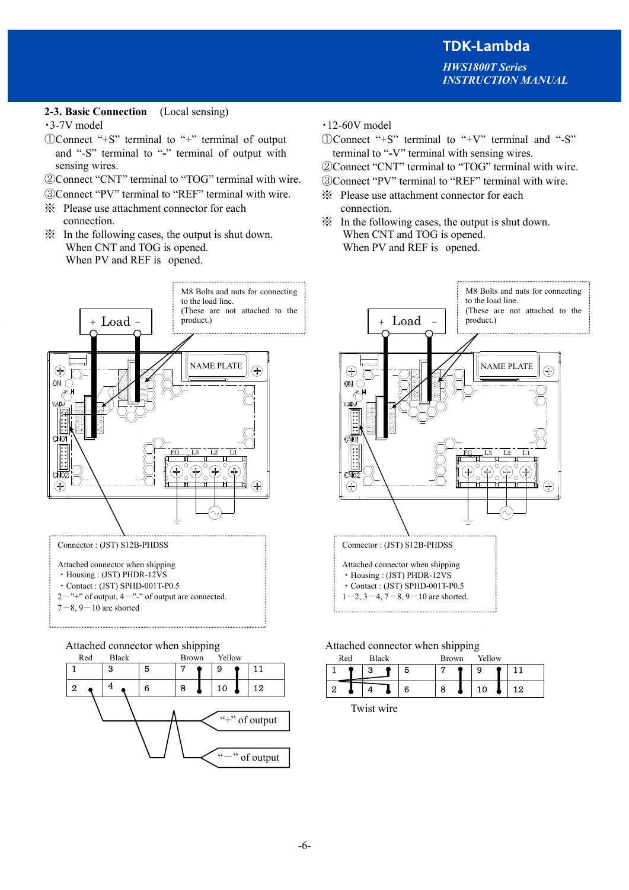# **2-3. Basic Connection** (Local sensing)

#### ・3-7V model

- ①Connect "+S" terminal to "+" terminal of output and "-S" terminal to "**-**" terminal of output with sensing wires.
- ②Connect "CNT" terminal to "TOG" terminal with wire.
- ③Connect "PV" terminal to "REF" terminal with wire.
- ※ Please use attachment connector for each connection.
- ※ In the following cases, the output is shut down. When CNT and TOG is opened. When PV and REF is opened.



- Attached connector when shipping
- ・Housing : (JST) PHDR-12VS
- ・Contact : (JST) SPHD-001T-P0.5
- $2^{-n+1}$  of output,  $4^{-n}$ -" of output are connected.
- $7-8$ ,  $9-10$  are shorted



- ・12-60V model
- ①Connect "+S" terminal to "+V" terminal and "-S" terminal to "**-**V" terminal with sensing wires.
- ②Connect "CNT" terminal to "TOG" terminal with wire.
- ③Connect "PV" terminal to "REF" terminal with wire.
- ※ Please use attachment connector for each connection.
- ※ In the following cases, the output is shut down. When CNT and TOG is opened. When PV and REF is opened.



### Attached connector when shipping Attached connector when shipping

| Red |   | Black |   | <b>Brown</b> | Yellow |    |
|-----|---|-------|---|--------------|--------|----|
|     | о |       | Ð |              | 9      |    |
|     |   |       | 6 | 8            | 10     | 12 |

Twist wire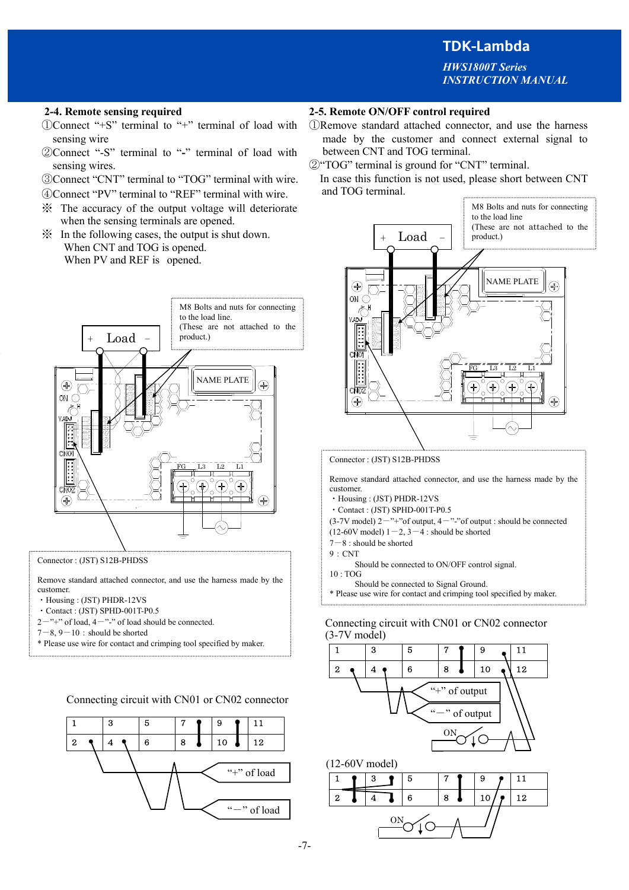*HWS1800T Series INSTRUCTION MANUAL*

- ①Connect "+S" terminal to "+" terminal of load with sensing wire
- ②Connect "-S" terminal to "**-**" terminal of load with sensing wires.
- ③Connect "CNT" terminal to "TOG" terminal with wire.
- ④Connect "PV" terminal to "REF" terminal with wire.
- ※ The accuracy of the output voltage will deteriorate when the sensing terminals are opened.
- ※ In the following cases, the output is shut down. When CNT and TOG is opened. When PV and REF is opened.



Connector : (JST) S12B-PHDSS

Remove standard attached connector, and use the harness made by the customer.

- ・Housing : (JST) PHDR-12VS
- ・Contact : (JST) SPHD-001T-P0.5
- $2^{-n+1}$  of load,  $4^{-n-1}$  of load should be connected.
- $7-8, 9-10$ : should be shorted
- \* Please use wire for contact and crimping tool specified by maker.

Connecting circuit with CN01 or CN02 connector



# **2-4. Remote sensing required 2-5. Remote ON/OFF control required**

- ①Remove standard attached connector, and use the harness made by the customer and connect external signal to between CNT and TOG terminal.
- ②"TOG" terminal is ground for "CNT" terminal.
- In case this function is not used, please short between CNT and TOG terminal.



#### Connector : (JST) S12B-PHDSS

Remove standard attached connector, and use the harness made by the customer.

- ・Housing : (JST) PHDR-12VS
- ・Contact : (JST) SPHD-001T-P0.5

 $(3-7V \text{ model})$  2<sup>-"+"</sup>of output, 4<sup>-"-"</sup>of output : should be connected

- $(12-60V \text{ model})$  1-2, 3-4 : should be shorted
- $7-8$ : should be shorted
- 9:CNT
- Should be connected to ON/OFF control signal.
- 10 : TOG
- Should be connected to Signal Ground. \* Please use wire for contact and crimping tool specified by maker.
- 

## Connecting circuit with CN01 or CN02 connector  $(3-7V \text{ model})$

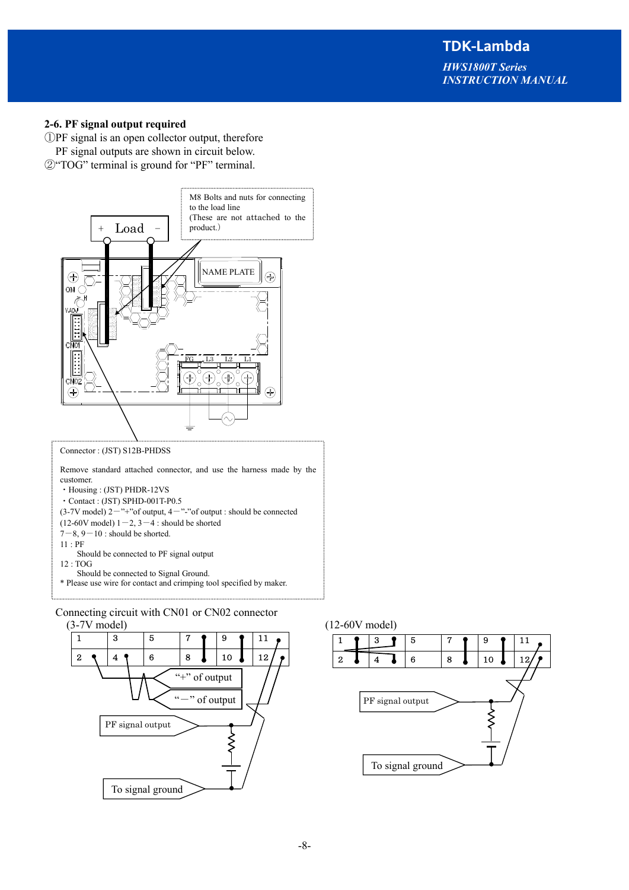*HWS1800T Series INSTRUCTION MANUAL*

#### **2-6. PF signal output required**

①PF signal is an open collector output, therefore PF signal outputs are shown in circuit below. ②"TOG" terminal is ground for "PF" terminal.



Remove standard attached connector, and use the harness made by the customer.

```
(3-7V model) 2<sup>-"+"</sup>of output, 4<sup>-"-"</sup>of output : should be connected
```
 $(12-60V \text{ model})$   $1-2$ ,  $3-4$  : should be shorted  $7-8$ ,  $9-10$ : should be shorted.

11 : PF

Should be connected to PF signal output

12 : TOG

Should be connected to Signal Ground.

```
* Please use wire for contact and crimping tool specified by maker.
```
Connecting circuit with CN01 or CN02 connector





<sup>・</sup>Housing : (JST) PHDR-12VS

<sup>・</sup>Contact : (JST) SPHD-001T-P0.5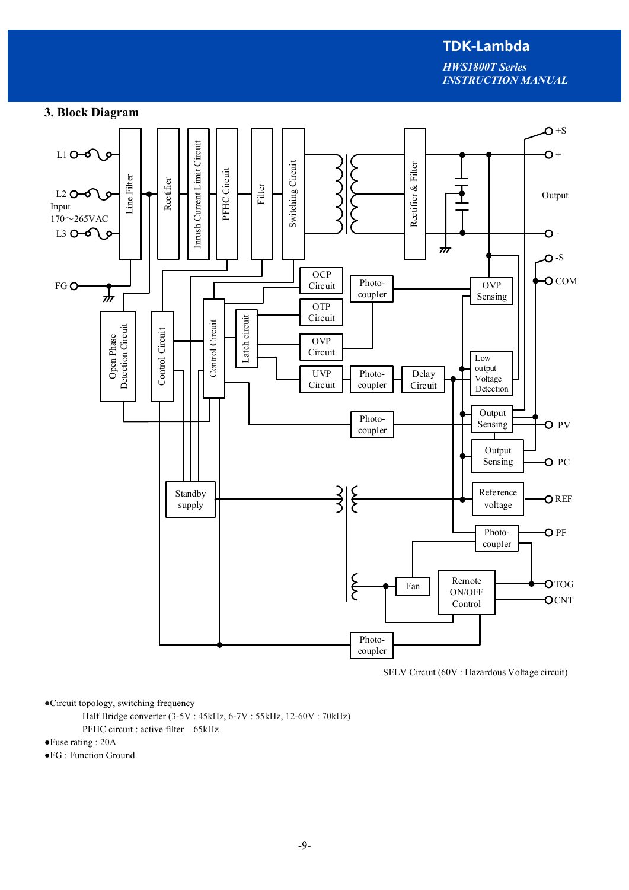*HWS1800T Series INSTRUCTION MANUAL*

# **3. Block Diagram**



SELV Circuit (60V : Hazardous Voltage circuit)

●Circuit topology, switching frequency

Half Bridge converter (3-5V : 45kHz, 6-7V : 55kHz, 12-60V : 70kHz)

PFHC circuit : active filter 65kHz

●Fuse rating : 20A

●FG : Function Ground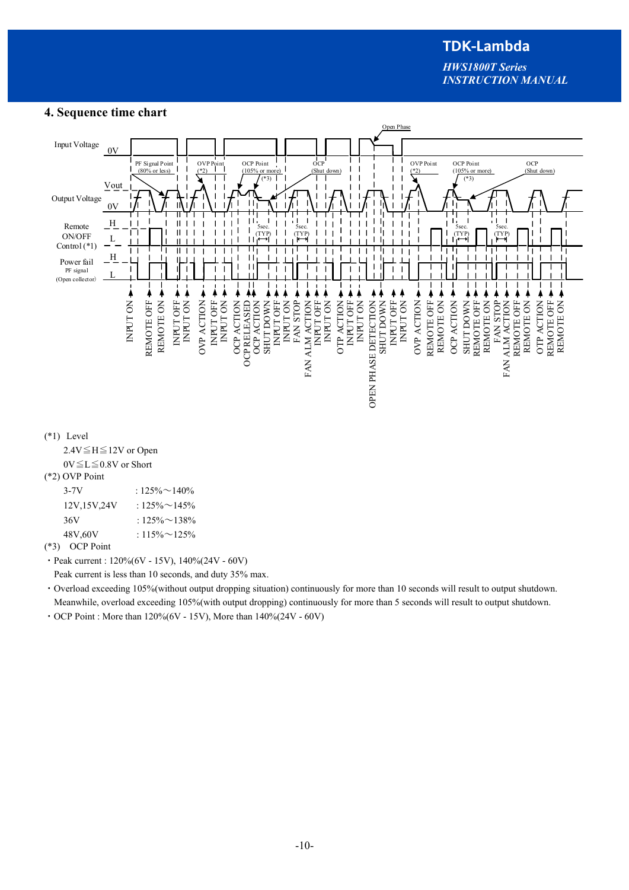*HWS1800T Series INSTRUCTION MANUAL*



#### **4. Sequence time chart**

(\*3) OCP Point  $\cdot$  Peak current : 120%(6V - 15V), 140%(24V - 60V)

Peak current is less than 10 seconds, and duty 35% max.

・Overload exceeding 105%(without output dropping situation) continuously for more than 10 seconds will result to output shutdown. Meanwhile, overload exceeding 105%(with output dropping) continuously for more than 5 seconds will result to output shutdown.

• OCP Point : More than  $120\%(6V - 15V)$ , More than  $140\%(24V - 60V)$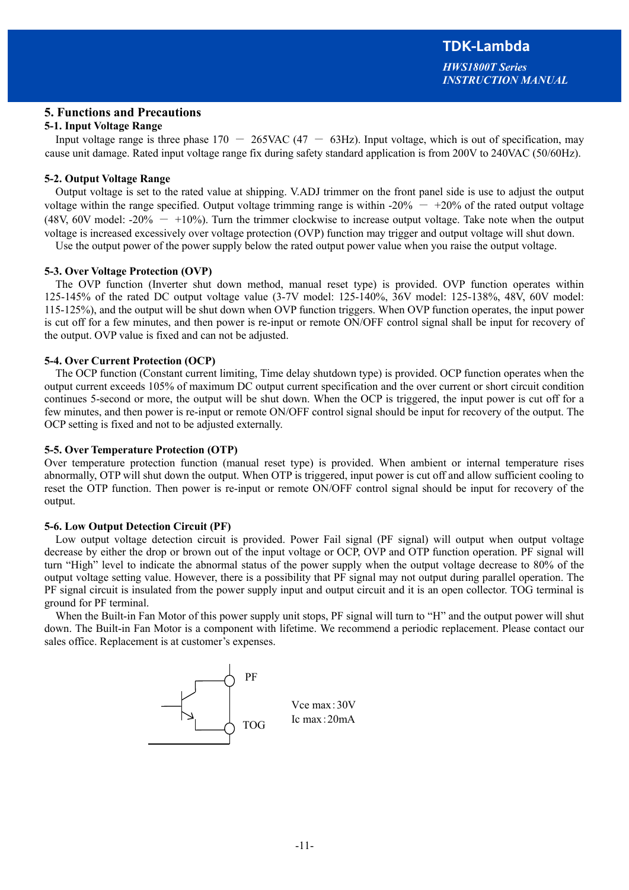## **5. Functions and Precautions**

### **5-1. Input Voltage Range**

Input voltage range is three phase  $170 - 265$ VAC  $(47 - 63)$ Hz). Input voltage, which is out of specification, may cause unit damage. Rated input voltage range fix during safety standard application is from 200V to 240VAC (50/60Hz).

### **5-2. Output Voltage Range**

Output voltage is set to the rated value at shipping. V.ADJ trimmer on the front panel side is use to adjust the output voltage within the range specified. Output voltage trimming range is within -20%  $-$  +20% of the rated output voltage (48V, 60V model: -20%  $-$  +10%). Turn the trimmer clockwise to increase output voltage. Take note when the output voltage is increased excessively over voltage protection (OVP) function may trigger and output voltage will shut down.

Use the output power of the power supply below the rated output power value when you raise the output voltage.

#### **5-3. Over Voltage Protection (OVP)**

The OVP function (Inverter shut down method, manual reset type) is provided. OVP function operates within 125-145% of the rated DC output voltage value (3-7V model: 125-140%, 36V model: 125-138%, 48V, 60V model: 115-125%), and the output will be shut down when OVP function triggers. When OVP function operates, the input power is cut off for a few minutes, and then power is re-input or remote ON/OFF control signal shall be input for recovery of the output. OVP value is fixed and can not be adjusted.

#### **5-4. Over Current Protection (OCP)**

The OCP function (Constant current limiting, Time delay shutdown type) is provided. OCP function operates when the output current exceeds 105% of maximum DC output current specification and the over current or short circuit condition continues 5-second or more, the output will be shut down. When the OCP is triggered, the input power is cut off for a few minutes, and then power is re-input or remote ON/OFF control signal should be input for recovery of the output. The OCP setting is fixed and not to be adjusted externally.

#### **5-5. Over Temperature Protection (OTP)**

Over temperature protection function (manual reset type) is provided. When ambient or internal temperature rises abnormally, OTP will shut down the output. When OTP is triggered, input power is cut off and allow sufficient cooling to reset the OTP function. Then power is re-input or remote ON/OFF control signal should be input for recovery of the output.

#### **5-6. Low Output Detection Circuit (PF)**

Low output voltage detection circuit is provided. Power Fail signal (PF signal) will output when output voltage decrease by either the drop or brown out of the input voltage or OCP, OVP and OTP function operation. PF signal will turn "High" level to indicate the abnormal status of the power supply when the output voltage decrease to 80% of the output voltage setting value. However, there is a possibility that PF signal may not output during parallel operation. The PF signal circuit is insulated from the power supply input and output circuit and it is an open collector. TOG terminal is ground for PF terminal.

When the Built-in Fan Motor of this power supply unit stops, PF signal will turn to "H" and the output power will shut down. The Built-in Fan Motor is a component with lifetime. We recommend a periodic replacement. Please contact our sales office. Replacement is at customer's expenses.

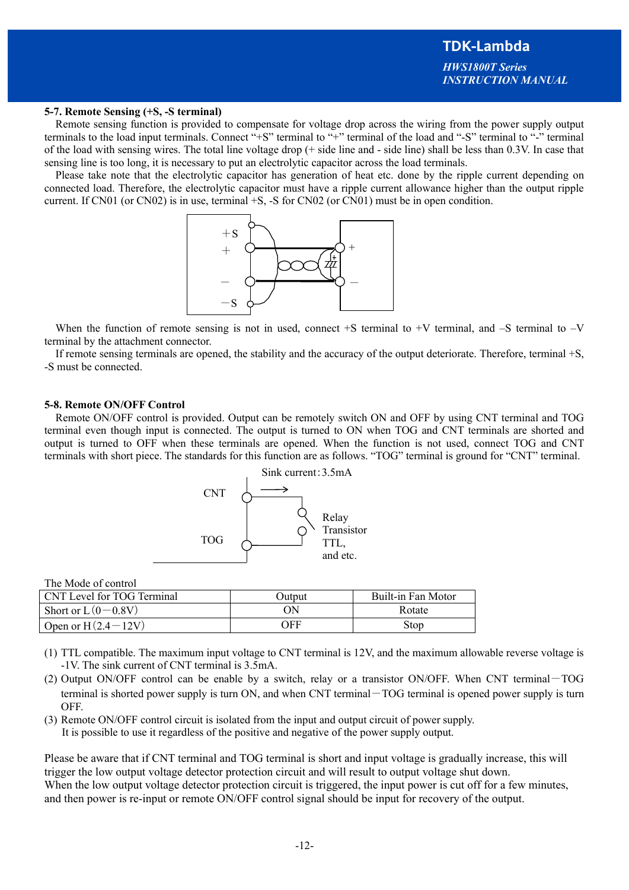#### **5-7. Remote Sensing (+S, -S terminal)**

Remote sensing function is provided to compensate for voltage drop across the wiring from the power supply output terminals to the load input terminals. Connect "+S" terminal to "+" terminal of the load and "-S" terminal to "-" terminal of the load with sensing wires. The total line voltage drop (+ side line and - side line) shall be less than 0.3V. In case that sensing line is too long, it is necessary to put an electrolytic capacitor across the load terminals.

Please take note that the electrolytic capacitor has generation of heat etc. done by the ripple current depending on connected load. Therefore, the electrolytic capacitor must have a ripple current allowance higher than the output ripple current. If CN01 (or CN02) is in use, terminal +S, -S for CN02 (or CN01) must be in open condition.



When the function of remote sensing is not in used, connect  $+S$  terminal to  $+V$  terminal, and  $-S$  terminal to  $-V$ terminal by the attachment connector.

If remote sensing terminals are opened, the stability and the accuracy of the output deteriorate. Therefore, terminal +S, -S must be connected.

#### **5-8. Remote ON/OFF Control**

Remote ON/OFF control is provided. Output can be remotely switch ON and OFF by using CNT terminal and TOG terminal even though input is connected. The output is turned to ON when TOG and CNT terminals are shorted and output is turned to OFF when these terminals are opened. When the function is not used, connect TOG and CNT terminals with short piece. The standards for this function are as follows. "TOG" terminal is ground for "CNT" terminal.



The Mode of control

| CNT Level for TOG Terminal | Outnut | Built-in Fan Motor |
|----------------------------|--------|--------------------|
| Short or $L(0-0.8V)$       | OΝ     | Rotate             |
| Open or $H(2.4-12V)$       | OFF    | Stop               |

- (1) TTL compatible. The maximum input voltage to CNT terminal is 12V, and the maximum allowable reverse voltage is -1V. The sink current of CNT terminal is 3.5mA.
- (2) Output ON/OFF control can be enable by a switch, relay or a transistor ON/OFF. When CNT terminal-TOG terminal is shorted power supply is turn ON, and when CNT terminal-TOG terminal is opened power supply is turn OFF.
- (3) Remote ON/OFF control circuit is isolated from the input and output circuit of power supply. It is possible to use it regardless of the positive and negative of the power supply output.

Please be aware that if CNT terminal and TOG terminal is short and input voltage is gradually increase, this will trigger the low output voltage detector protection circuit and will result to output voltage shut down. When the low output voltage detector protection circuit is triggered, the input power is cut off for a few minutes, and then power is re-input or remote ON/OFF control signal should be input for recovery of the output.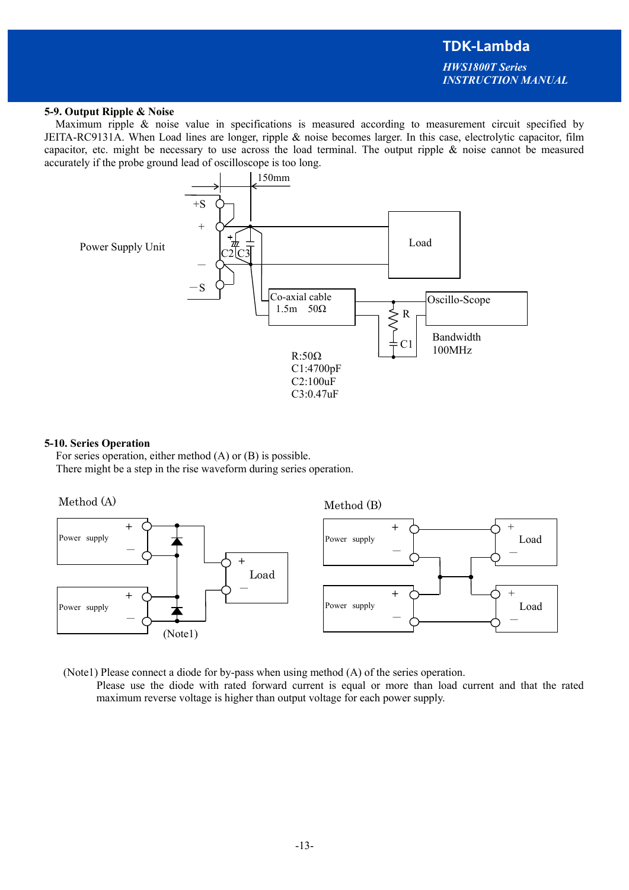# **TDK-Lambda**  *HWS1800T Series*

*INSTRUCTION MANUAL*

#### **5-9. Output Ripple & Noise**

Maximum ripple & noise value in specifications is measured according to measurement circuit specified by JEITA-RC9131A. When Load lines are longer, ripple & noise becomes larger. In this case, electrolytic capacitor, film capacitor, etc. might be necessary to use across the load terminal. The output ripple & noise cannot be measured accurately if the probe ground lead of oscilloscope is too long.



#### **5-10. Series Operation**

For series operation, either method (A) or (B) is possible. There might be a step in the rise waveform during series operation.



(Note1) Please connect a diode for by-pass when using method (A) of the series operation.

 Please use the diode with rated forward current is equal or more than load current and that the rated maximum reverse voltage is higher than output voltage for each power supply.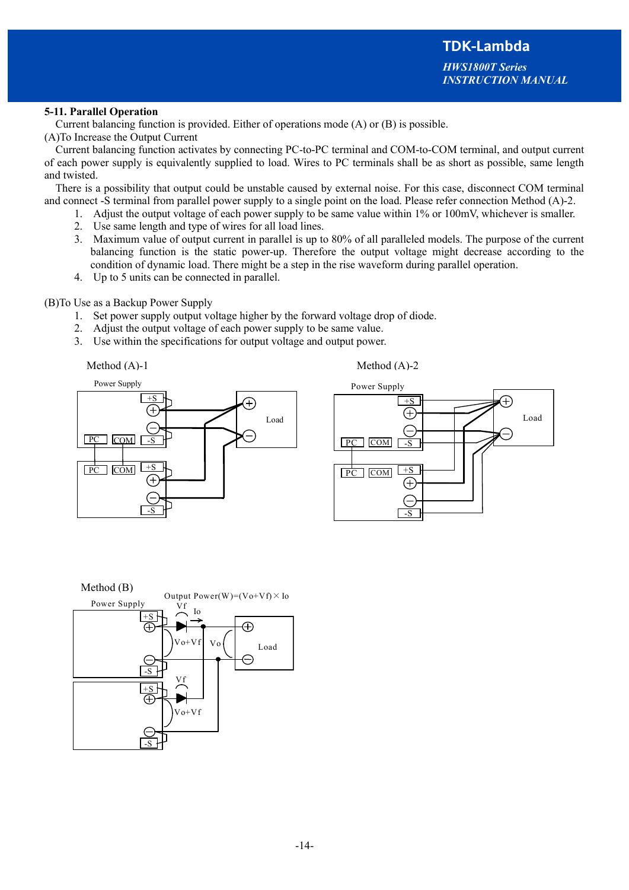#### **5-11. Parallel Operation**

Current balancing function is provided. Either of operations mode (A) or (B) is possible.

(A)To Increase the Output Current

Current balancing function activates by connecting PC-to-PC terminal and COM-to-COM terminal, and output current of each power supply is equivalently supplied to load. Wires to PC terminals shall be as short as possible, same length and twisted.

There is a possibility that output could be unstable caused by external noise. For this case, disconnect COM terminal and connect -S terminal from parallel power supply to a single point on the load. Please refer connection Method (A)-2.

- 1. Adjust the output voltage of each power supply to be same value within 1% or 100mV, whichever is smaller.
- 2. Use same length and type of wires for all load lines.
- 3. Maximum value of output current in parallel is up to 80% of all paralleled models. The purpose of the current balancing function is the static power-up. Therefore the output voltage might decrease according to the condition of dynamic load. There might be a step in the rise waveform during parallel operation.
- 4. Up to 5 units can be connected in parallel.

(B)To Use as a Backup Power Supply

- 1. Set power supply output voltage higher by the forward voltage drop of diode.
- 2. Adjust the output voltage of each power supply to be same value.
- 3. Use within the specifications for output voltage and output power.

Method (A)-1

Method (A)-2





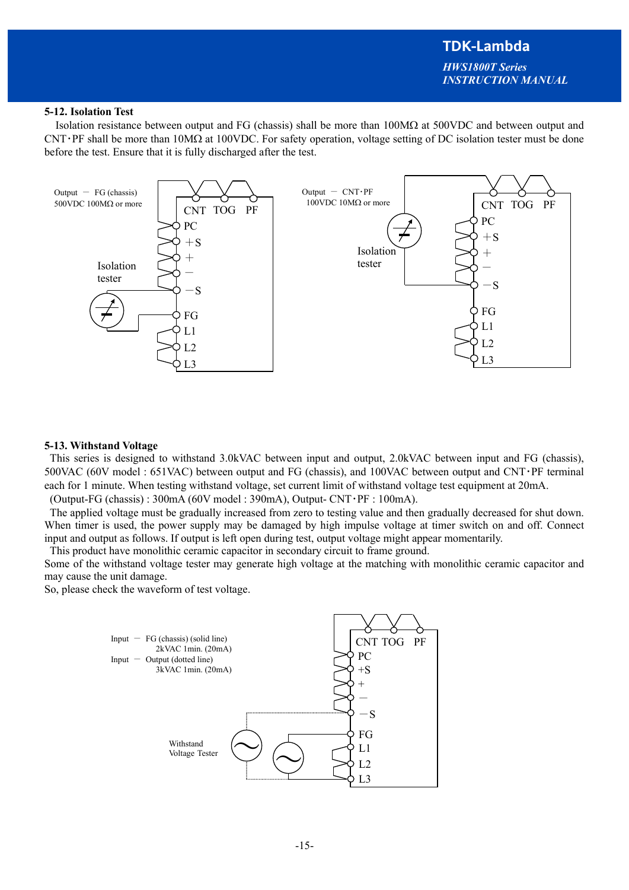# **TDK-Lambda**  *HWS1800T Series INSTRUCTION MANUAL*

### **5-12. Isolation Test**

Isolation resistance between output and FG (chassis) shall be more than  $100\text{M}\Omega$  at  $500\text{V}\text{DC}$  and between output and  $CNT·PF$  shall be more than  $10M\Omega$  at  $100VDC$ . For safety operation, voltage setting of DC isolation tester must be done before the test. Ensure that it is fully discharged after the test.



#### **5-13. Withstand Voltage**

 This series is designed to withstand 3.0kVAC between input and output, 2.0kVAC between input and FG (chassis), 500VAC (60V model : 651VAC) between output and FG (chassis), and 100VAC between output and CNT・PF terminal each for 1 minute. When testing withstand voltage, set current limit of withstand voltage test equipment at 20mA.

(Output-FG (chassis) : 300mA (60V model : 390mA), Output- CNT・PF : 100mA).

 The applied voltage must be gradually increased from zero to testing value and then gradually decreased for shut down. When timer is used, the power supply may be damaged by high impulse voltage at timer switch on and off. Connect input and output as follows. If output is left open during test, output voltage might appear momentarily.

This product have monolithic ceramic capacitor in secondary circuit to frame ground.

Some of the withstand voltage tester may generate high voltage at the matching with monolithic ceramic capacitor and may cause the unit damage.

So, please check the waveform of test voltage.

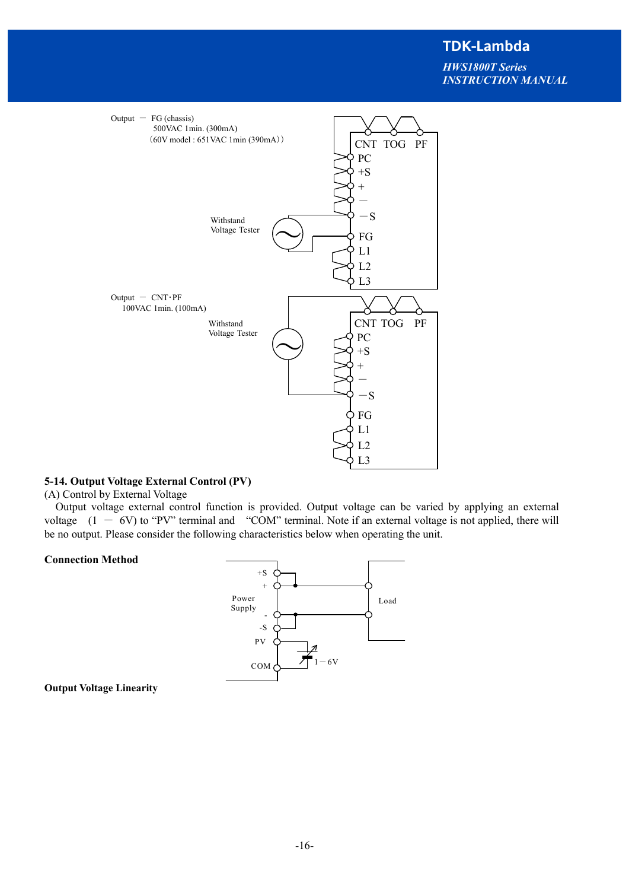*HWS1800T Series INSTRUCTION MANUAL*



### **5-14. Output Voltage External Control (PV)**

(A) Control by External Voltage

Output voltage external control function is provided. Output voltage can be varied by applying an external voltage  $(1 - 6V)$  to "PV" terminal and "COM" terminal. Note if an external voltage is not applied, there will be no output. Please consider the following characteristics below when operating the unit.

#### **Connection Method**



#### **Output Voltage Linearity**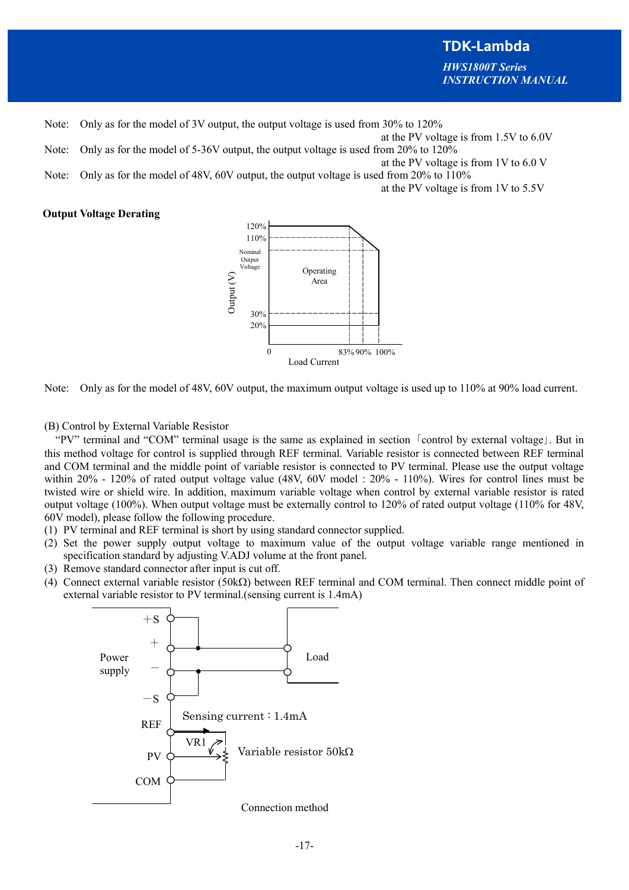**TDK-Lambda**  *HWS1800T Series INSTRUCTION MANUAL*

- Note: Only as for the model of 3V output, the output voltage is used from 30% to 120%
- at the PV voltage is from 1.5V to 6.0V
- Note: Only as for the model of 5-36V output, the output voltage is used from 20% to 120% at the PV voltage is from 1V to 6.0 V
- Note: Only as for the model of 48V, 60V output, the output voltage is used from 20% to 110%

at the PV voltage is from 1V to 5.5V

#### **Output Voltage Derating**



Note: Only as for the model of 48V, 60V output, the maximum output voltage is used up to 110% at 90% load current.

(B) Control by External Variable Resistor

"PV" terminal and "COM" terminal usage is the same as explained in section 「control by external voltage」. But in this method voltage for control is supplied through REF terminal. Variable resistor is connected between REF terminal and COM terminal and the middle point of variable resistor is connected to PV terminal. Please use the output voltage within 20% - 120% of rated output voltage value (48V, 60V model : 20% - 110%). Wires for control lines must be twisted wire or shield wire. In addition, maximum variable voltage when control by external variable resistor is rated output voltage (100%). When output voltage must be externally control to 120% of rated output voltage (110% for 48V, 60V model), please follow the following procedure.

- (1) PV terminal and REF terminal is short by using standard connector supplied.
- (2) Set the power supply output voltage to maximum value of the output voltage variable range mentioned in specification standard by adjusting V.ADJ volume at the front panel.
- (3) Remove standard connector after input is cut off.
- (4) Connect external variable resistor (50k $\Omega$ ) between REF terminal and COM terminal. Then connect middle point of external variable resistor to PV terminal.(sensing current is 1.4mA)

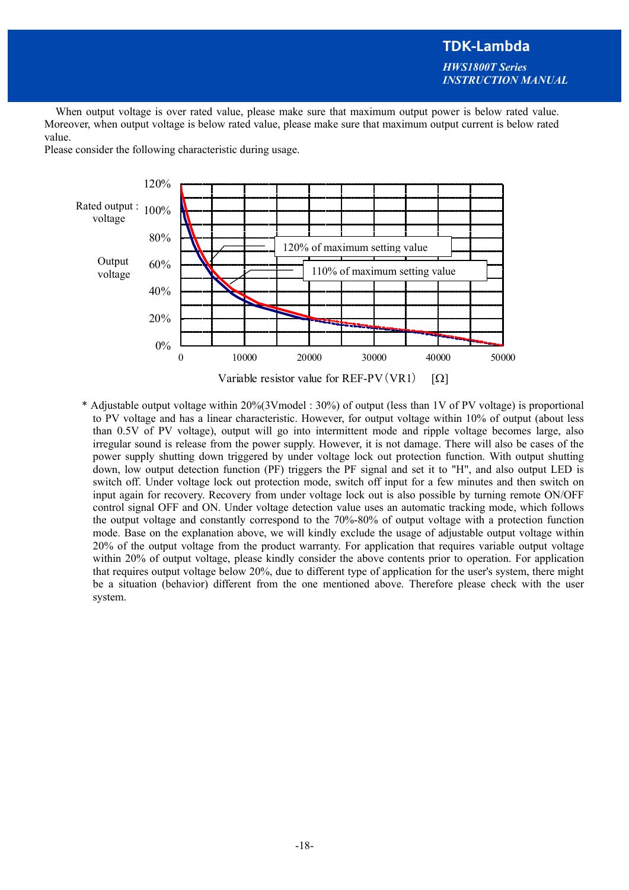# **TDK-Lambda**  *HWS1800T Series INSTRUCTION MANUAL*

When output voltage is over rated value, please make sure that maximum output power is below rated value. Moreover, when output voltage is below rated value, please make sure that maximum output current is below rated value.

Please consider the following characteristic during usage.



\* Adjustable output voltage within 20%(3Vmodel : 30%) of output (less than 1V of PV voltage) is proportional to PV voltage and has a linear characteristic. However, for output voltage within 10% of output (about less than 0.5V of PV voltage), output will go into intermittent mode and ripple voltage becomes large, also irregular sound is release from the power supply. However, it is not damage. There will also be cases of the power supply shutting down triggered by under voltage lock out protection function. With output shutting down, low output detection function (PF) triggers the PF signal and set it to "H", and also output LED is switch off. Under voltage lock out protection mode, switch off input for a few minutes and then switch on input again for recovery. Recovery from under voltage lock out is also possible by turning remote ON/OFF control signal OFF and ON. Under voltage detection value uses an automatic tracking mode, which follows the output voltage and constantly correspond to the 70%-80% of output voltage with a protection function mode. Base on the explanation above, we will kindly exclude the usage of adjustable output voltage within 20% of the output voltage from the product warranty. For application that requires variable output voltage within 20% of output voltage, please kindly consider the above contents prior to operation. For application that requires output voltage below 20%, due to different type of application for the user's system, there might be a situation (behavior) different from the one mentioned above. Therefore please check with the user system.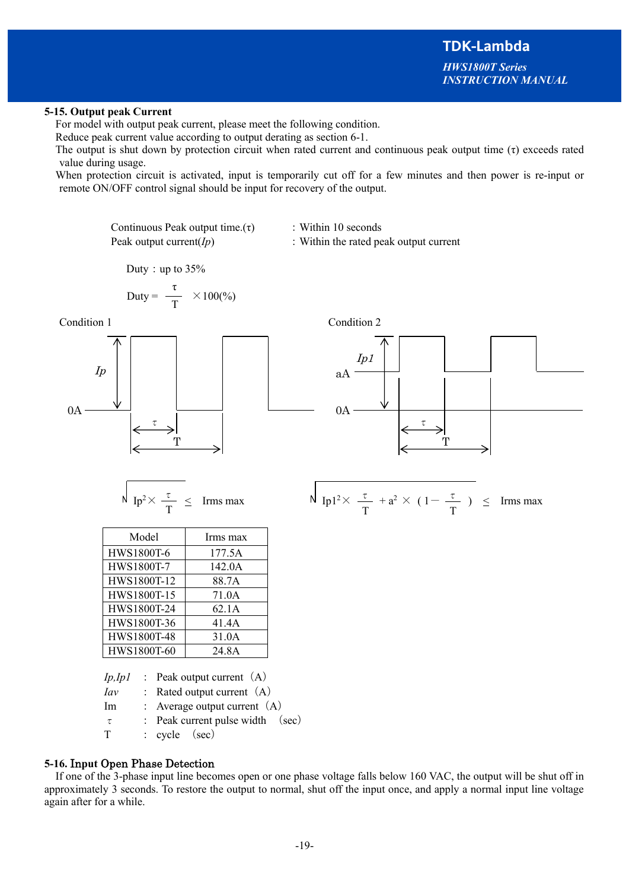*HWS1800T Series INSTRUCTION MANUAL*

### **5-15. Output peak Current**

For model with output peak current, please meet the following condition.

Reduce peak current value according to output derating as section 6-1.

The output is shut down by protection circuit when rated current and continuous peak output time  $(τ)$  exceeds rated value during usage.

When protection circuit is activated, input is temporarily cut off for a few minutes and then power is re-input or remote ON/OFF control signal should be input for recovery of the output.

Continuous Peak output time. $(\tau)$  : Within 10 seconds

Ip1

T

0A

aA

τ T

T

τ

Peak output current(*Ip*) : Within the rated peak output current

Duty: up to  $35%$ 

$$
Duty = \frac{\tau}{T} \times 100\%
$$

Condition 1 Condition 2





| Model       | Irms max |
|-------------|----------|
| HWS1800T-6  | 177.5A   |
| HWS1800T-7  | 142.0A   |
| HWS1800T-12 | 88.7A    |
| HWS1800T-15 | 71.0A    |
| HWS1800T-24 | 62.1A    |
| HWS1800T-36 | 41.4A    |
| HWS1800T-48 | 31.0A    |
| HWS1800T-60 | 24.8A    |

*Ip,Ip1* : Peak output current (A) *Iav* : Rated output current (A) Im : Average output current (A)  $\tau$  : Peak current pulse width (sec) T : cycle (sec)

## **5-16.** In**put** Open Phase Detection

If one of the 3-phase input line becomes open or one phase voltage falls below 160 VAC, the output will be shut off in approximately 3 seconds. To restore the output to normal, shut off the input once, and apply a normal input line voltage again after for a while.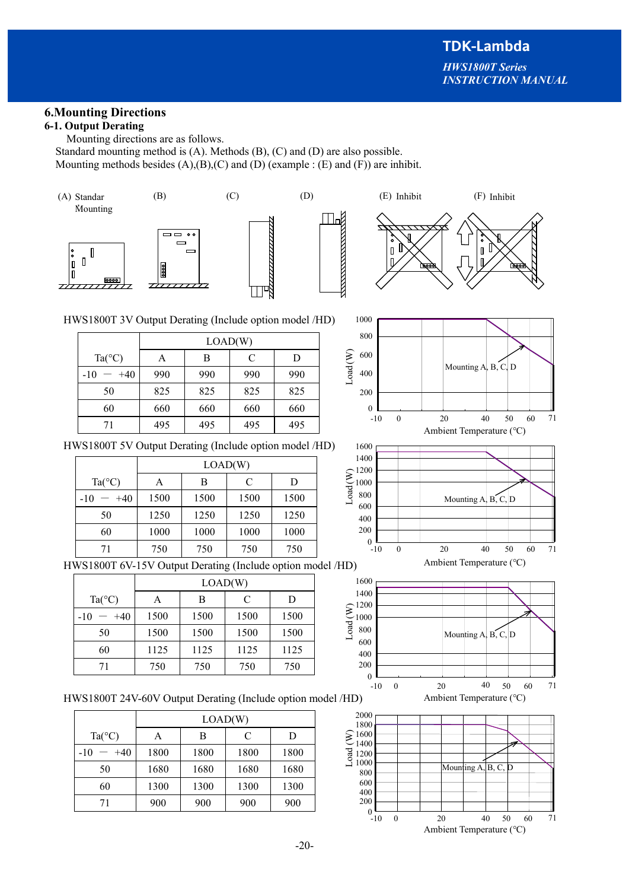# **6.Mounting Directions**

## **6-1. Output Derating**

Mounting directions are as follows.

Standard mounting method is (A). Methods (B), (C) and (D) are also possible. Mounting methods besides  $(A),(B),(C)$  and  $(D)$  (example :  $(E)$  and  $(F)$ ) are inhibit.







HWS1800T 3V Output Derating (Include option model /HD)

|                 | LOAD(W) |     |     |     |  |
|-----------------|---------|-----|-----|-----|--|
| $Ta(^{\circ}C)$ |         | В   | C   | D   |  |
| $+40$<br>$-10$  | 990     | 990 | 990 | 990 |  |
| 50              | 825     | 825 | 825 | 825 |  |
| 60              | 660     | 660 | 660 | 660 |  |
| 71              | 495     | 495 | 495 | 495 |  |

HWS1800T 5V Output Derating (Include option model /HD)

|                 | LOAD(W) |      |      |      |  |
|-----------------|---------|------|------|------|--|
| $Ta(^{\circ}C)$ | А       | в    | C    | D    |  |
| $-10$<br>$+40$  | 1500    | 1500 | 1500 | 1500 |  |
| 50              | 1250    | 1250 | 1250 | 1250 |  |
| 60              | 1000    | 1000 | 1000 | 1000 |  |
| 71              | 750     | 750  | 750  | 750  |  |

HWS1800T 6V-15V Output Derating (Include option model /HD)

|                 | LOAD(W) |      |      |      |  |
|-----------------|---------|------|------|------|--|
| $Ta(^{\circ}C)$ | А       | В    | C    | D    |  |
| $+40$<br>$-10$  | 1500    | 1500 | 1500 | 1500 |  |
| 50              | 1500    | 1500 | 1500 | 1500 |  |
| 60              | 1125    | 1125 | 1125 | 1125 |  |
| 71              | 750     | 750  | 750  | 750  |  |

HWS1800T 24V-60V Output Derating (Include option model /HD)

|                 | LOAD(W) |      |      |      |  |
|-----------------|---------|------|------|------|--|
| $Ta(^{\circ}C)$ | А       | В    | C    | D    |  |
| $+40$<br>$-10$  | 1800    | 1800 | 1800 | 1800 |  |
| 50              | 1680    | 1680 | 1680 | 1680 |  |
| 60              | 1300    | 1300 | 1300 | 1300 |  |
| 71              | 900     | 900  | 900  | 900  |  |







Ambient Temperature (℃)



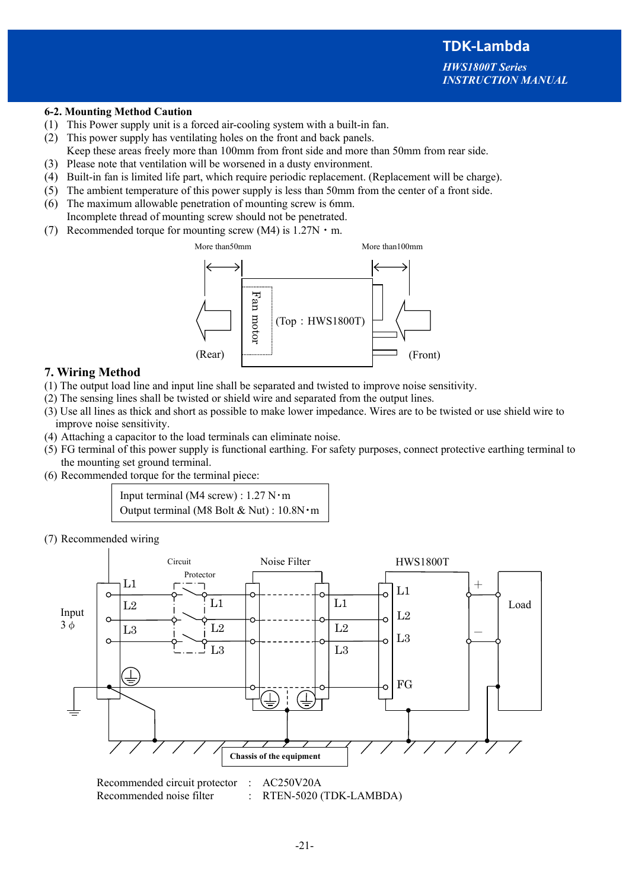#### **6-2. Mounting Method Caution**

- (1) This Power supply unit is a forced air-cooling system with a built-in fan.
- (2) This power supply has ventilating holes on the front and back panels.
- Keep these areas freely more than 100mm from front side and more than 50mm from rear side.
- (3) Please note that ventilation will be worsened in a dusty environment.
- (4) Built-in fan is limited life part, which require periodic replacement. (Replacement will be charge).
- (5) The ambient temperature of this power supply is less than 50mm from the center of a front side.
- (6) The maximum allowable penetration of mounting screw is 6mm. Incomplete thread of mounting screw should not be penetrated.
- (7) Recommended torque for mounting screw (M4) is  $1.27N \cdot m$ .



# **7. Wiring Method**

- (1) The output load line and input line shall be separated and twisted to improve noise sensitivity.
- (2) The sensing lines shall be twisted or shield wire and separated from the output lines.
- (3) Use all lines as thick and short as possible to make lower impedance. Wires are to be twisted or use shield wire to improve noise sensitivity.
- (4) Attaching a capacitor to the load terminals can eliminate noise.
- (5) FG terminal of this power supply is functional earthing. For safety purposes, connect protective earthing terminal to the mounting set ground terminal.
- (6) Recommended torque for the terminal piece:

Input terminal (M4 screw) :  $1.27$  N $\cdot$ m Output terminal (M8 Bolt & Nut) : 10.8N・m

(7) Recommended wiring



Recommended circuit protector : AC250V20A Recommended noise filter : RTEN-5020 (TDK-LAMBDA)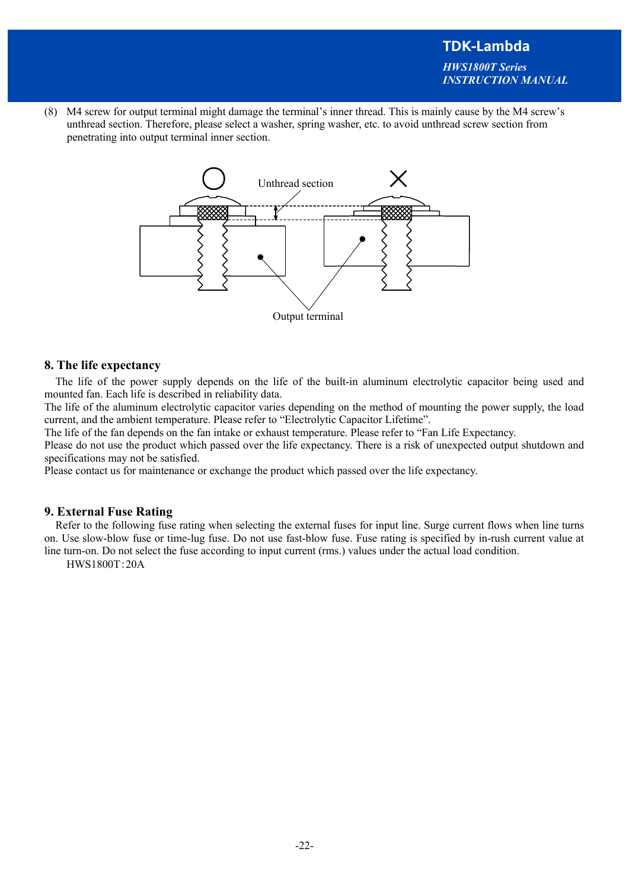(8) M4 screw for output terminal might damage the terminal's inner thread. This is mainly cause by the M4 screw's unthread section. Therefore, please select a washer, spring washer, etc. to avoid unthread screw section from penetrating into output terminal inner section.



### **8. The life expectancy**

The life of the power supply depends on the life of the built-in aluminum electrolytic capacitor being used and mounted fan. Each life is described in reliability data.

The life of the aluminum electrolytic capacitor varies depending on the method of mounting the power supply, the load current, and the ambient temperature. Please refer to "Electrolytic Capacitor Lifetime".

The life of the fan depends on the fan intake or exhaust temperature. Please refer to "Fan Life Expectancy.

Please do not use the product which passed over the life expectancy. There is a risk of unexpected output shutdown and specifications may not be satisfied.

Please contact us for maintenance or exchange the product which passed over the life expectancy.

#### **9. External Fuse Rating**

Refer to the following fuse rating when selecting the external fuses for input line. Surge current flows when line turns on. Use slow-blow fuse or time-lug fuse. Do not use fast-blow fuse. Fuse rating is specified by in-rush current value at line turn-on. Do not select the fuse according to input current (rms.) values under the actual load condition.

HWS1800T:20A